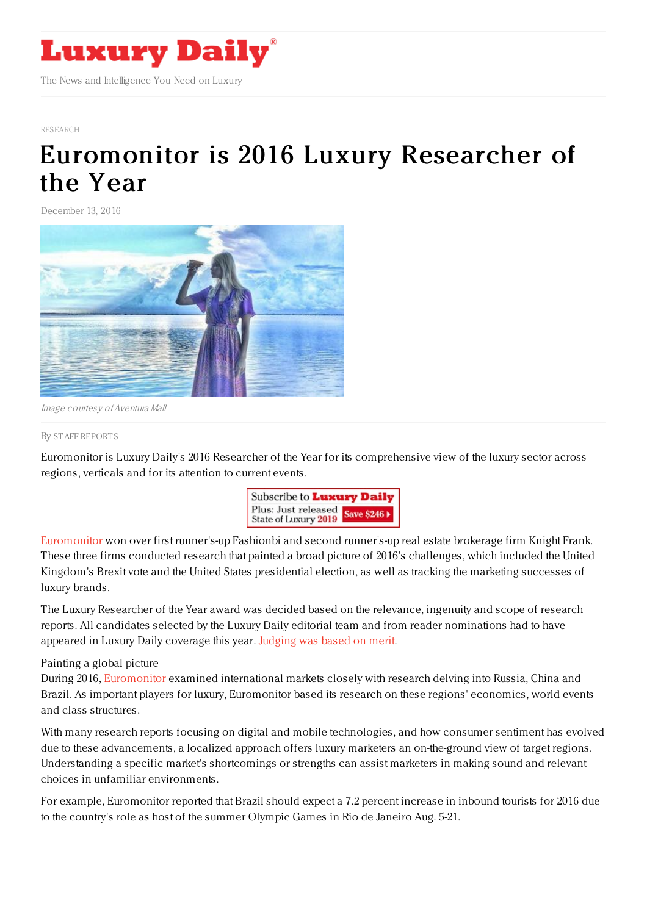

#### [RESEARCH](https://www.luxurydaily.com/category/news/research/)

# [Euromonitor](https://www.luxurydaily.com/euromonitor-is-2016-luxury-researcher-of-the-year/) is 2016 Luxury Researcher of the Year

December 13, 2016



Image courtesy ofAventura Mall

### By STAFF [REPORT](file:///author/staff-reports) S

Euromonitor is Luxury Daily's 2016 Researcher of the Year for its comprehensive view of the luxury sector across regions, verticals and for its attention to current events.



[Euromonitor](http://www.euromonitor.com/) won over first runner's-up Fashionbi and second runner's-up real estate brokerage firm Knight Frank. These three firms conducted research that painted a broad picture of 2016's challenges, which included the United Kingdom's Brexit vote and the United States presidential election, as well as tracking the marketing successes of luxury brands.

The Luxury Researcher of the Year award was decided based on the relevance, ingenuity and scope of research reports. All candidates selected by the Luxury Daily editorial team and from reader nominations had to have appeared in Luxury Daily coverage this year. [Judging](https://www.luxurydaily.com/inviting-nominations-for-the-2016-luxury-daily-awards-12/) was based on merit.

## Painting a global picture

During 2016, [Euromonitor](https://www.luxurydaily.com/?s=euromonitor) examined international markets closely with research delving into Russia, China and Brazil. As important players for luxury, Euromonitor based its research on these regions' economics, world events and class structures.

With many research reports focusing on digital and mobile technologies, and how consumer sentiment has evolved due to these advancements, a localized approach offers luxury marketers an on-the-ground view of target regions. Understanding a specific market's shortcomings or strengths can assist marketers in making sound and relevant choices in unfamiliar environments.

For example, Euromonitor reported that Brazil should expect a 7.2 percent increase in inbound tourists for 2016 due to the country's role as host of the summer Olympic Games in Rio de Janeiro Aug. 5-21.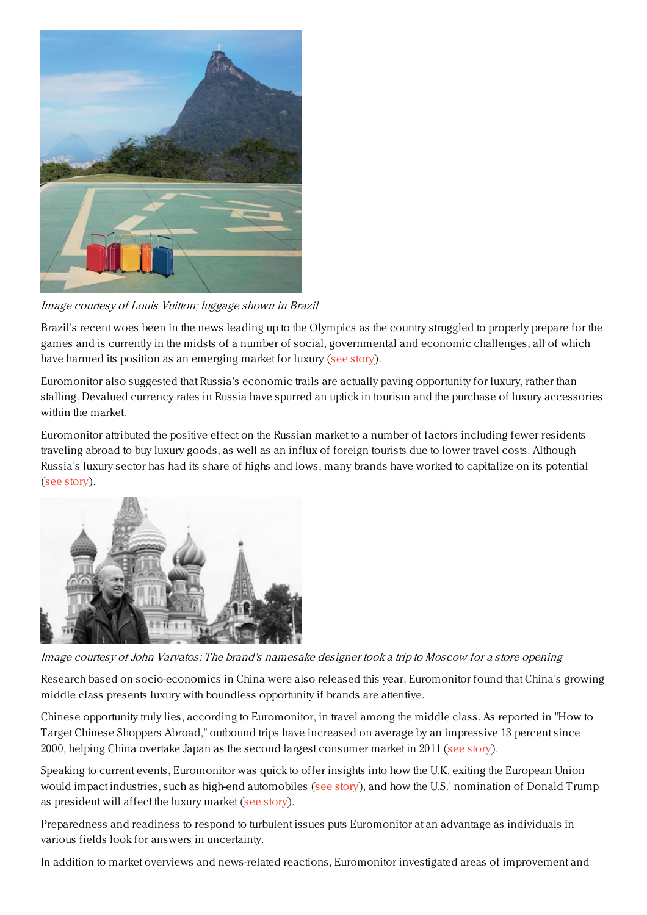

Image courtesy of Louis Vuitton; luggage shown in Brazil

Brazil's recent woes been in the news leading up to the Olympics as the country struggled to properly prepare for the games and is currently in the midsts of a number of social, governmental and economic challenges, all of which have harmed its position as an emerging market for luxury (see [story](https://www.luxurydaily.com/will-the-olympic-boost-revamp-luxurys-interest-in-brazil/)).

Euromonitor also suggested that Russia's economic trails are actually paving opportunity for luxury, rather than stalling. Devalued currency rates in Russia have spurred an uptick in tourism and the purchase of luxury accessories within the market.

Euromonitor attributed the positive effect on the Russian market to a number of factors including fewer residents traveling abroad to buy luxury goods, as well as an influx of foreign tourists due to lower travel costs. Although Russia's luxury sector has had its share of highs and lows, many brands have worked to capitalize on its potential (see [story](https://www.luxurydaily.com/russias-economic-trials-paves-opportunity-for-luxury/)).



Image courtesy of John Varvatos; The brand's namesake designer took <sup>a</sup> trip to Moscow for <sup>a</sup> store opening

Research based on socio-economics in China were also released this year. Euromonitor found that China's growing middle class presents luxury with boundless opportunity if brands are attentive.

Chinese opportunity truly lies, according to Euromonitor, in travel among the middle class. As reported in "How to Target Chinese Shoppers Abroad," outbound trips have increased on average by an impressive 13 percent since 2000, helping China overtake Japan as the second largest consumer market in 2011 (see [story](https://www.luxurydaily.com/chinas-growing-middle-class-presents-boundless-opportunity-for-attentive-brands/)).

Speaking to current events, Euromonitor was quick to offer insights into how the U.K. exiting the European Union would impact industries, such as high-end automobiles (see [story](https://www.luxurydaily.com/automaker-stocks-recover-but-taxation-and-regulations-hover-over-post-brexit-world/)), and how the U.S.' nomination of Donald Trump as president will affect the luxury market (see [story](https://www.luxurydaily.com/what-impact-will-a-trump-presidency-have-on-the-luxury-market/)).

Preparedness and readiness to respond to turbulent issues puts Euromonitor at an advantage as individuals in various fields look for answers in uncertainty.

In addition to market overviews and news-related reactions, Euromonitor investigated areas of improvement and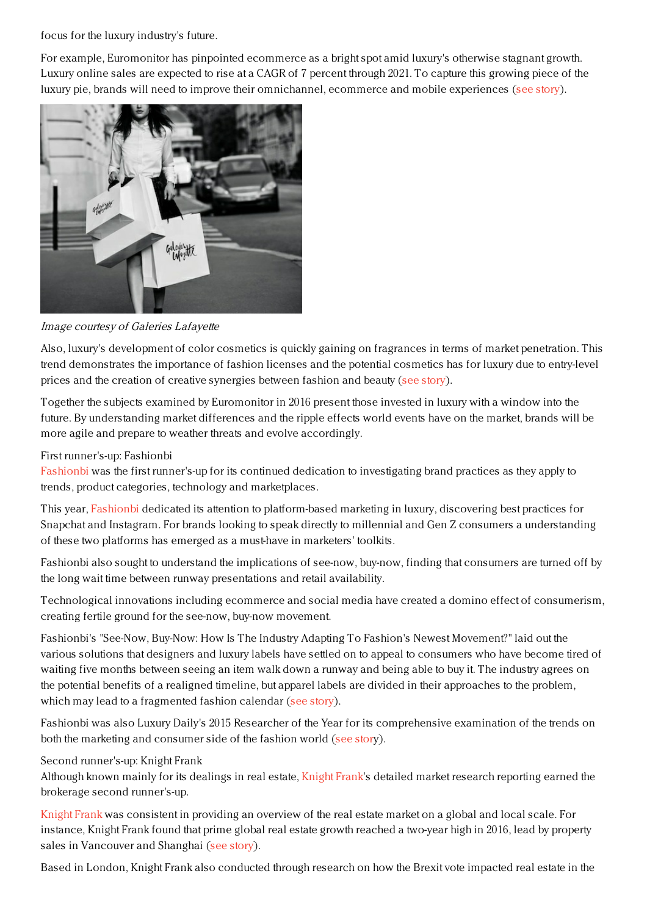focus for the luxury industry's future.

For example, Euromonitor has pinpointed ecommerce as a bright spot amid luxury's otherwise stagnant growth. Luxury online sales are expected to rise at a CAGR of 7 percent through 2021. To capture this growing piece of the luxury pie, brands will need to improve their omnichannel, ecommerce and mobile experiences (see [story](https://www.luxurydaily.com/ecommerce-a-bright-spot-amid-luxurys-otherwise-stagnant-growth-euromonitor/)).



Image courtesy of Galeries Lafayette

Also, luxury's development of color cosmetics is quickly gaining on fragrances in terms of market penetration. This trend demonstrates the importance of fashion licenses and the potential cosmetics has for luxury due to entry-level prices and the creation of creative synergies between fashion and beauty (see [story](https://www.luxurydaily.com/cosmetic-licenses-excel-by-exploring-creative-synergies-between-fashion-beauty/)).

Together the subjects examined by Euromonitor in 2016 present those invested in luxury with a window into the future. By understanding market differences and the ripple effects world events have on the market, brands will be more agile and prepare to weather threats and evolve accordingly.

# First runner's-up: Fashionbi

[Fashionbi](http://fashionbi.com/) was the first runner's-up for its continued dedication to investigating brand practices as they apply to trends, product categories, technology and marketplaces.

This year, [Fashionbi](https://www.luxurydaily.com/?s=fashionbi) dedicated its attention to platform-based marketing in luxury, discovering best practices for Snapchat and Instagram. For brands looking to speak directly to millennial and Gen Z consumers a understanding of these two platforms has emerged as a must-have in marketers' toolkits.

Fashionbi also sought to understand the implications of see-now, buy-now, finding that consumers are turned off by the long wait time between runway presentations and retail availability.

Technological innovations including ecommerce and social media have created a domino effect of consumerism, creating fertile ground for the see-now, buy-now movement.

Fashionbi's "See-Now, Buy-Now: How Is The Industry Adapting To Fashion's Newest Movement?" laid out the various solutions that designers and luxury labels have settled on to appeal to consumers who have become tired of waiting five months between seeing an item walk down a runway and being able to buy it. The industry agrees on the potential benefits of a realigned timeline, but apparel labels are divided in their approaches to the problem, which may lead to a fragmented fashion calendar (see [story](https://www.luxurydaily.com/wait-time-between-runway-and-retail-is-consumer-turn-off-fashionbi/)).

Fashionbi was also Luxury Daily's 2015 Researcher of the Year for its comprehensive examination of the trends on both the marketing and consumer side of the fashion world (see [stor](https://www.luxurydaily.com/fashionbi-is-2015-luxury-researcher-of-the-year/)y).

## Second runner's-up: Knight Frank

Although known mainly for its dealings in real estate, [Knight](http://www.knightfrank.com) Frank's detailed market research reporting earned the brokerage second runner's-up.

[Knight](https://www.luxurydaily.com/?s=knight%20frank) Frank was consistent in providing an overview of the real estate market on a global and local scale. For instance, Knight Frank found that prime global real estate growth reached a two-year high in 2016, lead by property sales in Vancouver and Shanghai (see [story](https://www.luxurydaily.com/prime-global-real-estate-growth-reaches-two-year-high-knight-frank/)).

Based in London, Knight Frank also conducted through research on how the Brexit vote impacted real estate in the